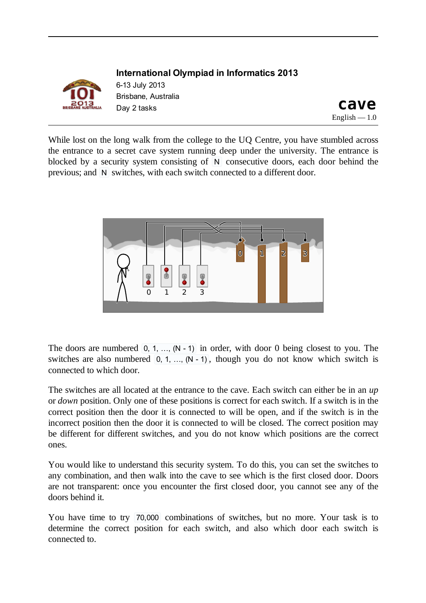

**International Olympiad in Informatics 2013** 613 July 2013 Brisbane, Australia Displane, Adstralia<br>Day 2 tasks **cave** 

English  $-1.0$ 

While lost on the long walk from the college to the UQ Centre, you have stumbled across the entrance to a secret cave system running deep under the university. The entrance is blocked by a security system consisting of N consecutive doors, each door behind the previous; and N switches, with each switch connected to a different door.



The doors are numbered  $[0, 1, ..., (N - 1)]$  in order, with door 0 being closest to you. The switches are also numbered  $[0, 1, ..., (N - 1)]$ , though you do not know which switch is connected to which door.

The switches are all located at the entrance to the cave. Each switch can either be in an *up* or *down* position. Only one of these positions is correct for each switch. If a switch is in the correct position then the door it is connected to will be open, and if the switch is in the incorrect position then the door it is connected to will be closed. The correct position may be different for different switches, and you do not know which positions are the correct ones.

You would like to understand this security system. To do this, you can set the switches to any combination, and then walk into the cave to see which is the first closed door. Doors are not transparent: once you encounter the first closed door, you cannot see any of the doors behind it.

You have time to try 70,000 combinations of switches, but no more. Your task is to determine the correct position for each switch, and also which door each switch is connected to.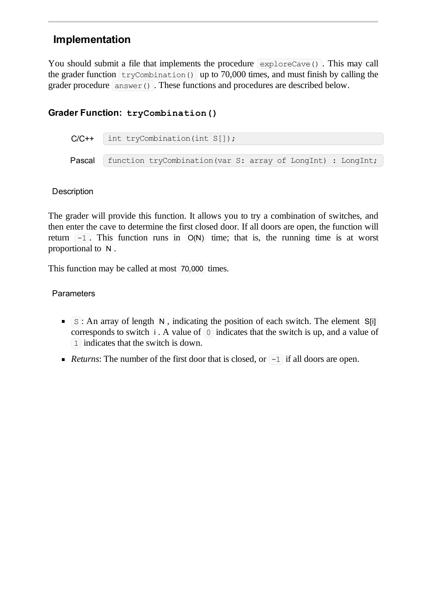## **Implementation**

You should submit a file that implements the procedure exploreCave(). This may call the grader function  $tryCombination()$  up to 70,000 times, and must finish by calling the grader procedure answer(). These functions and procedures are described below.

## **Grader Function: tryCombination()**

```
C/C++ int tryCombination(int S[]);
Pascal function tryCombination(var S: array of LongInt) : LongInt;
```
#### **Description**

The grader will provide this function. It allows you to try a combination of switches, and then enter the cave to determine the first closed door. If all doors are open, the function will return  $-1$ . This function runs in  $O(N)$  time; that is, the running time is at worst proportional to N .

This function may be called at most 70,000 times.

### **Parameters**

- $\blacksquare$   $\blacksquare$   $\blacksquare$  : An array of length  $\blacksquare$  , indicating the position of each switch. The element  $\blacksquare$ corresponds to switch  $\mathbf{i}$ . A value of  $\mathbf{0}$  indicates that the switch is up, and a value of 1 indicates that the switch is down.
- *Returns*: The number of the first door that is closed, or  $-1$  if all doors are open.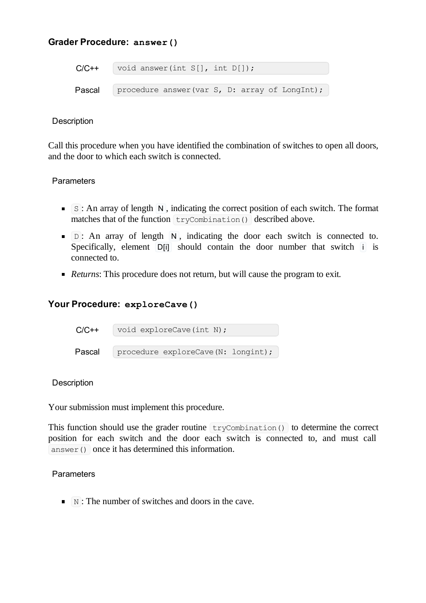### **Grader Procedure: answer()**

```
C/C++ void answer(int S[], int D[]);
Pascal procedure answer(var S, D: array of LongInt);
```
#### **Description**

Call this procedure when you have identified the combination of switches to open all doors, and the door to which each switch is connected.

#### **Parameters**

- $\blacksquare$  S: An array of length  $\blacksquare$  N, indicating the correct position of each switch. The format matches that of the function  $\text{trycombination}()$  described above.
- $\blacksquare$   $\Box$ : An array of length  $\blacksquare$ , indicating the door each switch is connected to. Specifically, element  $\overline{D[i]}$  should contain the door number that switch  $\overline{I}$  is connected to.
- *Returns*: This procedure does not return, but will cause the program to exit.

### **Your Procedure: exploreCave()**

| $C/C++$ | void exploreCave(int N);            |  |  |
|---------|-------------------------------------|--|--|
| Pascal  | procedure exploreCave (N: longint); |  |  |

#### **Description**

Your submission must implement this procedure.

This function should use the grader routine  $\text{tryCombination}()$  to determine the correct position for each switch and the door each switch is connected to, and must call answer() once it has determined this information.

#### **Parameters**

 $\blacksquare$  N: The number of switches and doors in the cave.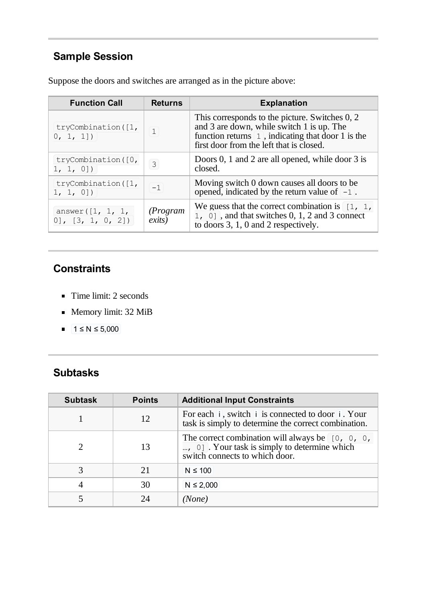# **Sample Session**

Suppose the doors and switches are arranged as in the picture above:

| <b>Function Call</b>                      | <b>Returns</b>     | <b>Explanation</b>                                                                                                                                                                                          |
|-------------------------------------------|--------------------|-------------------------------------------------------------------------------------------------------------------------------------------------------------------------------------------------------------|
| tryCombination([1,<br>0, 1, 1]            |                    | This corresponds to the picture. Switches 0, 2<br>and 3 are down, while switch 1 is up. The<br>function returns $\vert 1 \vert$ , indicating that door 1 is the<br>first door from the left that is closed. |
| tryCombination([0,<br>1, 1, 0]            | $\mathcal{S}$      | Doors 0, 1 and 2 are all opened, while door 3 is<br>closed.                                                                                                                                                 |
| tryCombination([1,<br>1, 1, 0]            | $-1$               | Moving switch 0 down causes all doors to be.<br>opened, indicated by the return value of $-1$ .                                                                                                             |
| answer( $[1, 1, 1]$<br>[0], [3, 1, 0, 2]) | (Program<br>exits) | We guess that the correct combination is $\begin{bmatrix} 1, 1, \end{bmatrix}$<br>$1, 0$ ], and that switches 0, 1, 2 and 3 connect<br>to doors 3, 1, 0 and 2 respectively.                                 |

# **Constraints**

- Time limit: 2 seconds
- Memory limit: 32 MiB
- $1 \le N \le 5,000$  $\blacksquare$

# **Subtasks**

| <b>Subtask</b> | <b>Points</b> | <b>Additional Input Constraints</b>                                                                                                      |
|----------------|---------------|------------------------------------------------------------------------------------------------------------------------------------------|
|                | 12            | For each i, switch i is connected to door i. Your<br>task is simply to determine the correct combination.                                |
|                | 13            | The correct combination will always be $[0, 0, 0, 0]$<br>, 0] . Your task is simply to determine which<br>switch connects to which door. |
| 3              | 21            | $N \leq 100$                                                                                                                             |
|                | 30            | $N \le 2,000$                                                                                                                            |
|                | 24            | (None)                                                                                                                                   |